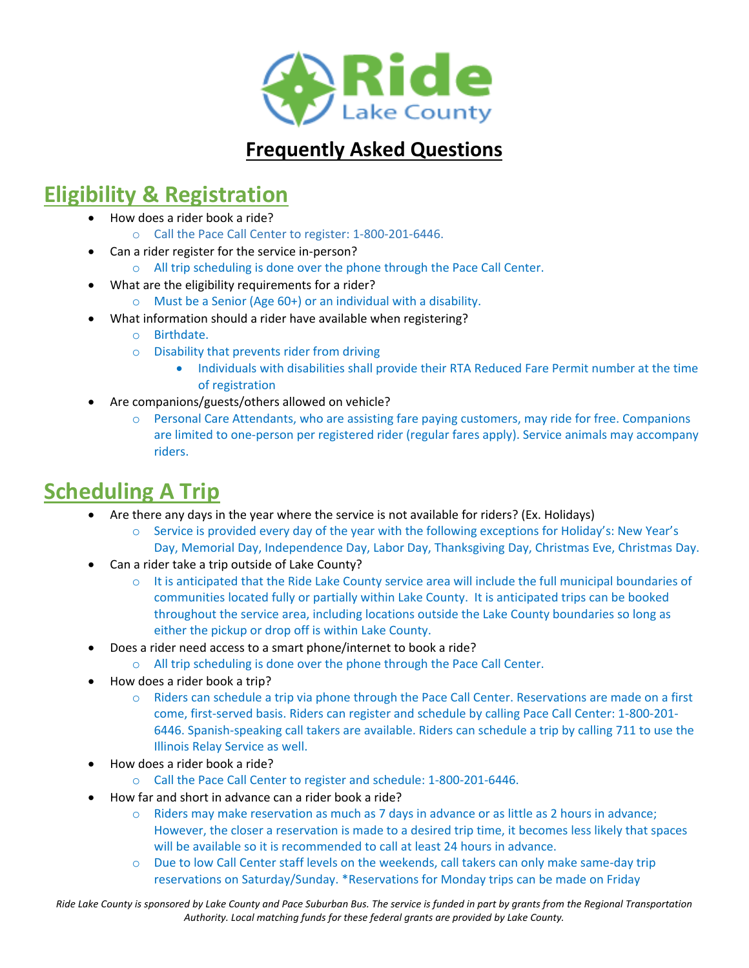

### **Frequently Asked Questions**

### **Eligibility & Registration**

- How does a rider book a ride?
	- o Call the Pace Call Center to register: 1-800-201-6446.
- Can a rider register for the service in-person?
	- o All trip scheduling is done over the phone through the Pace Call Center.
- What are the eligibility requirements for a rider?
	- o Must be a Senior (Age 60+) or an individual with a disability.
	- What information should a rider have available when registering?
		- o Birthdate.
		- o Disability that prevents rider from driving
			- Individuals with disabilities shall provide their RTA Reduced Fare Permit number at the time of registration
- Are companions/guests/others allowed on vehicle?
	- $\circ$  Personal Care Attendants, who are assisting fare paying customers, may ride for free. Companions are limited to one-person per registered rider (regular fares apply). Service animals may accompany riders.

# **Scheduling A Trip**

- Are there any days in the year where the service is not available for riders? (Ex. Holidays)
	- o Service is provided every day of the year with the following exceptions for Holiday's: New Year's Day, Memorial Day, Independence Day, Labor Day, Thanksgiving Day, Christmas Eve, Christmas Day.
- Can a rider take a trip outside of Lake County?
	- $\circ$  It is anticipated that the Ride Lake County service area will include the full municipal boundaries of communities located fully or partially within Lake County. It is anticipated trips can be booked throughout the service area, including locations outside the Lake County boundaries so long as either the pickup or drop off is within Lake County.
- Does a rider need access to a smart phone/internet to book a ride?
	- o All trip scheduling is done over the phone through the Pace Call Center.
	- How does a rider book a trip?
		- o Riders can schedule a trip via phone through the Pace Call Center. Reservations are made on a first come, first-served basis. Riders can register and schedule by calling Pace Call Center: 1-800-201- 6446. Spanish-speaking call takers are available. Riders can schedule a trip by calling 711 to use the Illinois Relay Service as well.
- How does a rider book a ride?
	- o Call the Pace Call Center to register and schedule: 1-800-201-6446.
- How far and short in advance can a rider book a ride?
	- $\circ$  Riders may make reservation as much as 7 days in advance or as little as 2 hours in advance; However, the closer a reservation is made to a desired trip time, it becomes less likely that spaces will be available so it is recommended to call at least 24 hours in advance.
	- o Due to low Call Center staff levels on the weekends, call takers can only make same-day trip reservations on Saturday/Sunday. \*Reservations for Monday trips can be made on Friday

*Ride Lake County is sponsored by Lake County and Pace Suburban Bus. The service is funded in part by grants from the Regional Transportation Authority. Local matching funds for these federal grants are provided by Lake County.*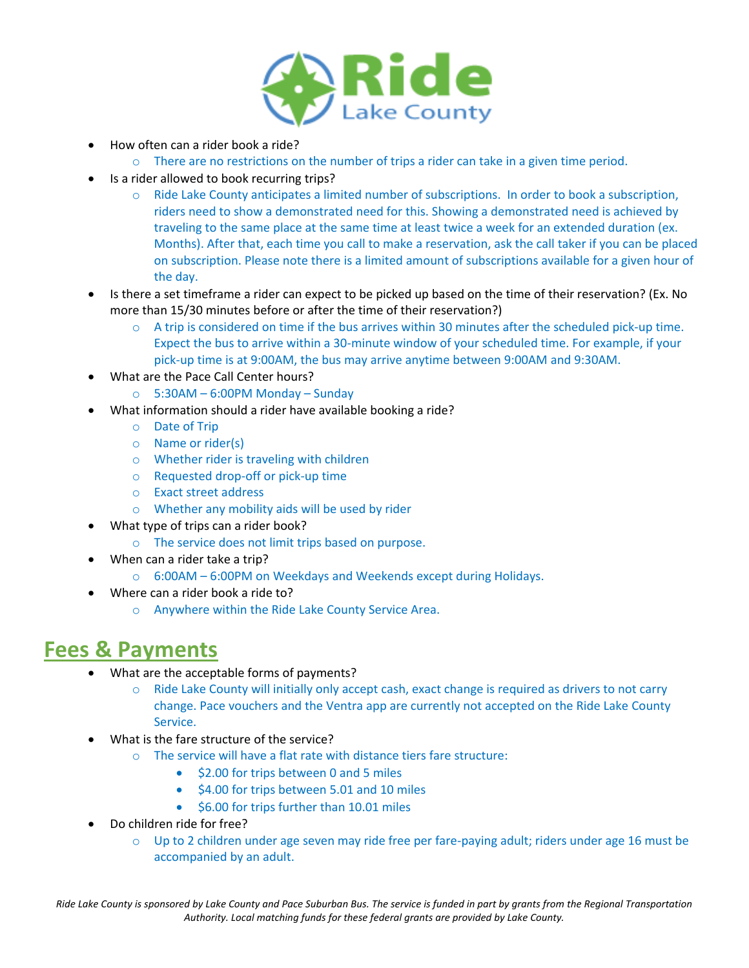

- How often can a rider book a ride?
	- o There are no restrictions on the number of trips a rider can take in a given time period.
- Is a rider allowed to book recurring trips?
	- o Ride Lake County anticipates a limited number of subscriptions. In order to book a subscription, riders need to show a demonstrated need for this. Showing a demonstrated need is achieved by traveling to the same place at the same time at least twice a week for an extended duration (ex. Months). After that, each time you call to make a reservation, ask the call taker if you can be placed on subscription. Please note there is a limited amount of subscriptions available for a given hour of the day.
- Is there a set timeframe a rider can expect to be picked up based on the time of their reservation? (Ex. No more than 15/30 minutes before or after the time of their reservation?)
	- $\circ$  A trip is considered on time if the bus arrives within 30 minutes after the scheduled pick-up time. Expect the bus to arrive within a 30-minute window of your scheduled time. For example, if your pick-up time is at 9:00AM, the bus may arrive anytime between 9:00AM and 9:30AM.
- What are the Pace Call Center hours?
	- o 5:30AM 6:00PM Monday Sunday
- What information should a rider have available booking a ride?
	- o Date of Trip
	- o Name or rider(s)
	- o Whether rider is traveling with children
	- o Requested drop-off or pick-up time
	- o Exact street address
	- o Whether any mobility aids will be used by rider
- What type of trips can a rider book?
	- o The service does not limit trips based on purpose.
- When can a rider take a trip?
	- o 6:00AM 6:00PM on Weekdays and Weekends except during Holidays.
- Where can a rider book a ride to?
	- o Anywhere within the Ride Lake County Service Area.

### **Fees & Payments**

- What are the acceptable forms of payments?
	- o Ride Lake County will initially only accept cash, exact change is required as drivers to not carry change. Pace vouchers and the Ventra app are currently not accepted on the Ride Lake County Service.
- What is the fare structure of the service?
	- $\circ$  The service will have a flat rate with distance tiers fare structure:
		- \$2.00 for trips between 0 and 5 miles
		- \$4.00 for trips between 5.01 and 10 miles
		- \$6.00 for trips further than 10.01 miles
- Do children ride for free?
	- $\circ$  Up to 2 children under age seven may ride free per fare-paying adult; riders under age 16 must be accompanied by an adult.

*Ride Lake County is sponsored by Lake County and Pace Suburban Bus. The service is funded in part by grants from the Regional Transportation Authority. Local matching funds for these federal grants are provided by Lake County.*